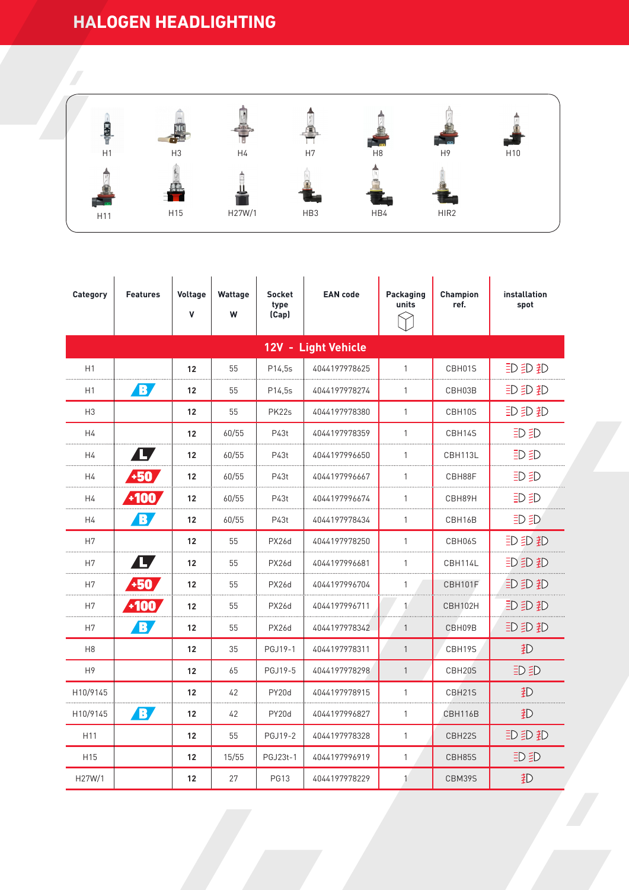## **HALOGEN HEADLIGHTING**



| Category            | <b>Features</b> | Voltage<br>$\mathbf{V}$ | Wattage<br>W | <b>Socket</b><br>type<br>(Cap) | <b>EAN</b> code | Packaging<br>units | <b>Champion</b><br>ref. | installation<br>spot |  |  |  |  |  |
|---------------------|-----------------|-------------------------|--------------|--------------------------------|-----------------|--------------------|-------------------------|----------------------|--|--|--|--|--|
| 12V - Light Vehicle |                 |                         |              |                                |                 |                    |                         |                      |  |  |  |  |  |
| H1                  |                 | 12                      | 55           | P14,5s                         | 4044197978625   | $\mathbf{1}$       | CBH01S                  | 印印和                  |  |  |  |  |  |
| H1                  | B/              | 12                      | 55           | P14,5s                         | 4044197978274   | $\mathbf{1}$       | CBH03B                  | <b>即即都</b>           |  |  |  |  |  |
| H <sub>3</sub>      |                 | 12                      | 55           | PK22s                          | 4044197978380   | $\mathbf{1}$       | CBH10S                  | 印印和                  |  |  |  |  |  |
| H4                  |                 | 12                      | 60/55        | P43t                           | 4044197978359   | $\mathbf{1}$       | CBH14S                  | 印印                   |  |  |  |  |  |
| H4                  | ly              | 12                      | 60/55        | P43t                           | 4044197996650   | 1                  | CBH113L                 | 印印                   |  |  |  |  |  |
| H4                  | +50             | 12                      | 60/55        | P43t                           | 4044197996667   | 1                  | CBH88F                  | iD iD                |  |  |  |  |  |
| H4                  | $-100.$         | 12                      | 60/55        | P43t                           | 4044197996674   | 1                  | CBH89H                  | 印印                   |  |  |  |  |  |
| H4                  | B,              | 12                      | 60/55        | P43t                           | 4044197978434   | $\mathbf{1}$       | CBH16B                  | 印<br>5D              |  |  |  |  |  |
| H7                  |                 | 12                      | 55           | <b>PX26d</b>                   | 4044197978250   | $\mathbf{1}$       | CBH06S                  | <b>即即都</b>           |  |  |  |  |  |
| H7                  | LZ              | 12                      | 55           | <b>PX26d</b>                   | 4044197996681   | $\mathbf{1}$       | CBH114L                 | 印印                   |  |  |  |  |  |
| H7                  | $+50$           | 12                      | 55           | <b>PX26d</b>                   | 4044197996704   | 1                  | CBH101F                 | 即即那                  |  |  |  |  |  |
| H7                  | $-100$          | 12                      | 55           | <b>PX26d</b>                   | 4044197996711   | $\mathbf{1}$       | CBH102H                 | 即即那                  |  |  |  |  |  |
| H7                  | B,              | 12                      | 55           | <b>PX26d</b>                   | 4044197978342   | $\mathbf{1}$       | CBH09B                  | <b>即即都</b>           |  |  |  |  |  |
| H <sub>8</sub>      |                 | 12                      | 35           | PGJ19-1                        | 4044197978311   | $\mathbf{1}$       | CBH19S                  | 扪                    |  |  |  |  |  |
| H <sub>9</sub>      |                 | 12                      | 65           | PGJ19-5                        | 4044197978298   | $\mathbf{1}$       | CBH20S                  | 印印                   |  |  |  |  |  |
| H10/9145            |                 | 12                      | 42           | PY20d                          | 4044197978915   | $\mathbf{1}$       | CBH21S                  | 。                    |  |  |  |  |  |
| H10/9145            | B/              | 12                      | 42           | PY20d                          | 4044197996827   | $\mathbf{1}$       | CBH116B                 | 記                    |  |  |  |  |  |
| H <sub>11</sub>     |                 | 12                      | 55           | <b>PGJ19-2</b>                 | 4044197978328   | 1                  | CBH22S                  | 印印和                  |  |  |  |  |  |
| H <sub>15</sub>     |                 | 12                      | 15/55        | PGJ23t-1                       | 4044197996919   | $\mathbf{1}$       | CBH85S                  | DED                  |  |  |  |  |  |
| H27W/1              |                 | 12                      | 27           | <b>PG13</b>                    | 4044197978229   | $\mathbf{1}$       | CBM39S                  | 犯                    |  |  |  |  |  |